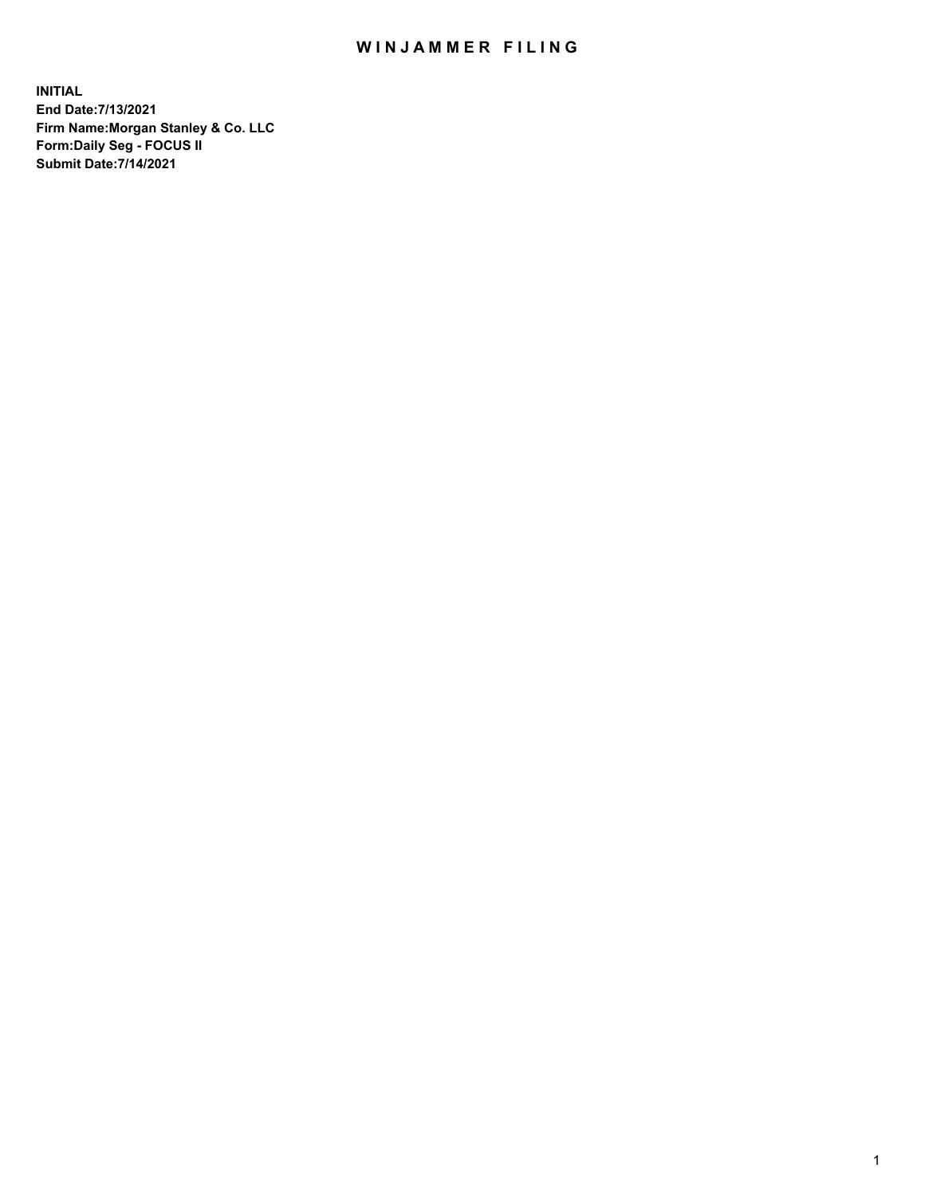## WIN JAMMER FILING

**INITIAL End Date:7/13/2021 Firm Name:Morgan Stanley & Co. LLC Form:Daily Seg - FOCUS II Submit Date:7/14/2021**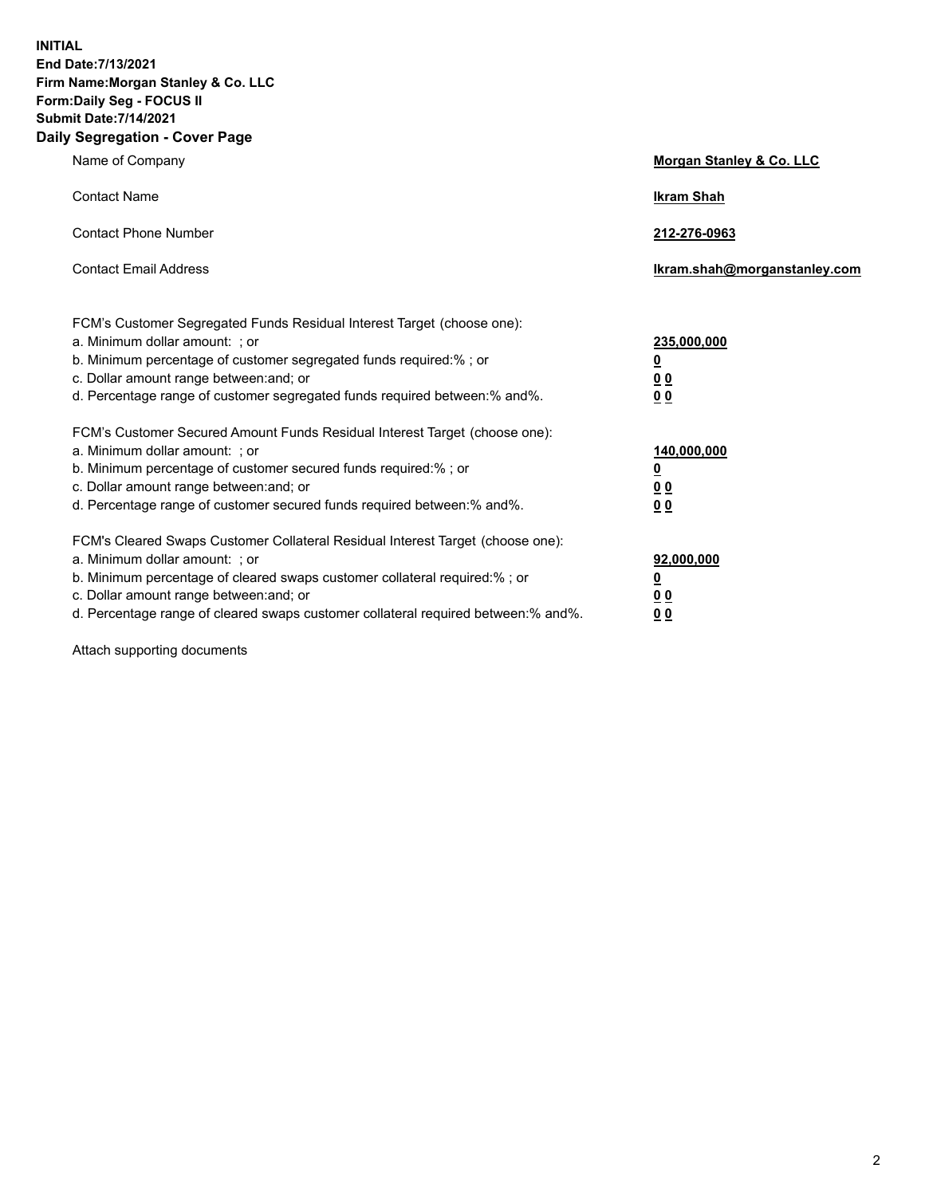**INITIAL End Date:7/13/2021 Firm Name:Morgan Stanley & Co. LLC Form:Daily Seg - FOCUS II Submit Date:7/14/2021 Daily Segregation - Cover Page**

| Name of Company                                                                                                                                                                                                                                                                                                                | <b>Morgan Stanley &amp; Co. LLC</b>                         |
|--------------------------------------------------------------------------------------------------------------------------------------------------------------------------------------------------------------------------------------------------------------------------------------------------------------------------------|-------------------------------------------------------------|
| <b>Contact Name</b>                                                                                                                                                                                                                                                                                                            | <b>Ikram Shah</b>                                           |
| <b>Contact Phone Number</b>                                                                                                                                                                                                                                                                                                    | 212-276-0963                                                |
| <b>Contact Email Address</b>                                                                                                                                                                                                                                                                                                   | Ikram.shah@morganstanley.com                                |
| FCM's Customer Segregated Funds Residual Interest Target (choose one):<br>a. Minimum dollar amount: ; or<br>b. Minimum percentage of customer segregated funds required:% ; or<br>c. Dollar amount range between: and; or<br>d. Percentage range of customer segregated funds required between:% and%.                         | 235,000,000<br><u>0</u><br>0 <sub>0</sub><br>0 <sub>0</sub> |
| FCM's Customer Secured Amount Funds Residual Interest Target (choose one):<br>a. Minimum dollar amount: ; or<br>b. Minimum percentage of customer secured funds required:%; or<br>c. Dollar amount range between: and; or<br>d. Percentage range of customer secured funds required between:% and%.                            | 140,000,000<br><u>0</u><br>0 <sub>0</sub><br>0 <sub>0</sub> |
| FCM's Cleared Swaps Customer Collateral Residual Interest Target (choose one):<br>a. Minimum dollar amount: ; or<br>b. Minimum percentage of cleared swaps customer collateral required:% ; or<br>c. Dollar amount range between: and; or<br>d. Percentage range of cleared swaps customer collateral required between:% and%. | 92,000,000<br><u>0</u><br><u>00</u><br>00                   |

Attach supporting documents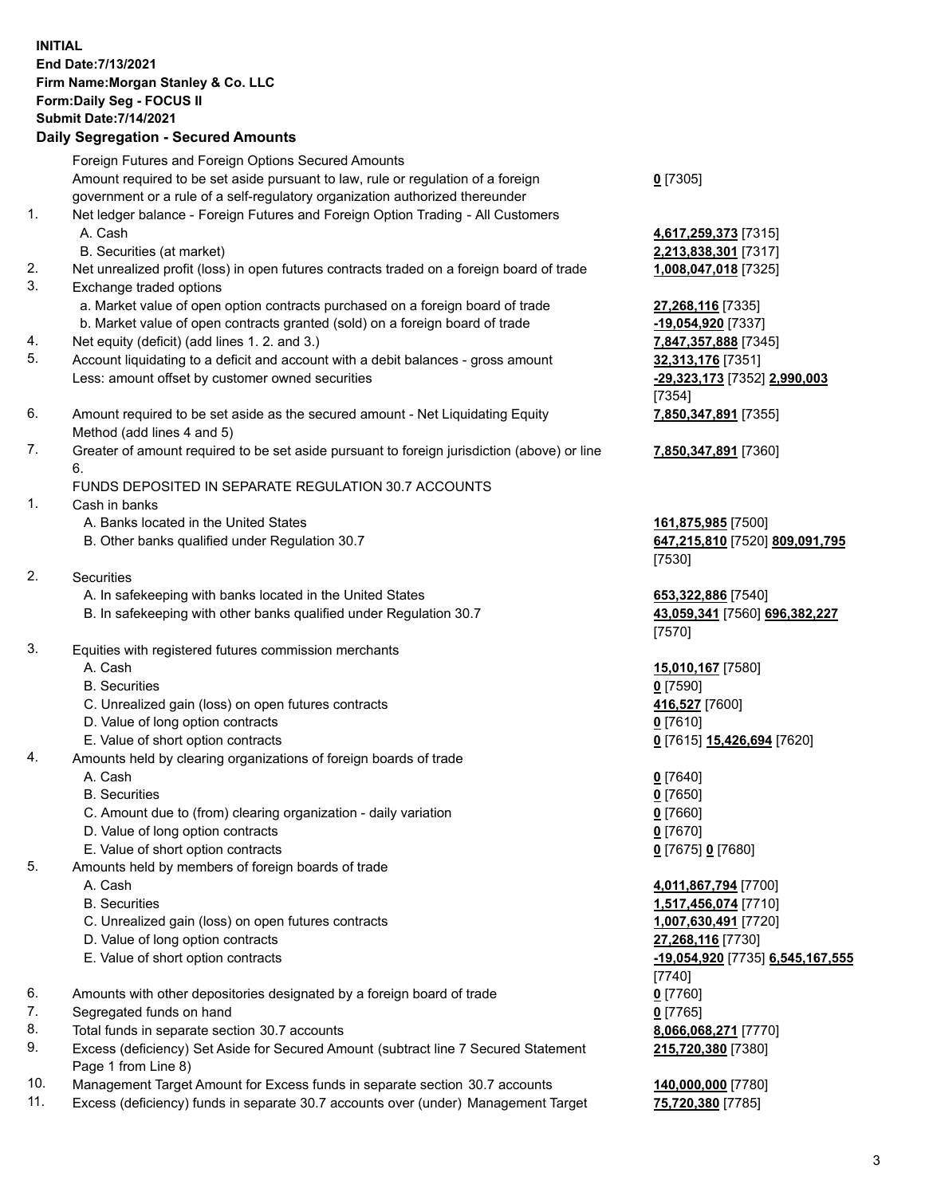## **INITIAL End Date:7/13/2021 Firm Name:Morgan Stanley & Co. LLC Form:Daily Seg - FOCUS II Submit Date:7/14/2021**

## **Daily Segregation - Secured Amounts**

Foreign Futures and Foreign Options Secured Amounts Amount required to be set aside pursuant to law, rule or regulation of a foreign government or a rule of a self-regulatory organization authorized thereunder 1. Net ledger balance - Foreign Futures and Foreign Option Trading - All Customers A. Cash **4,617,259,373** [7315] B. Securities (at market) **2,213,838,301** [7317] 2. Net unrealized profit (loss) in open futures contracts traded on a foreign board of trade **1,008,047,018** [7325] 3. Exchange traded options a. Market value of open option contracts purchased on a foreign board of trade **27,268,116** [7335] b. Market value of open contracts granted (sold) on a foreign board of trade **-19,054,920** [7337] 4. Net equity (deficit) (add lines 1. 2. and 3.) **7,847,357,888** [7345] 5. Account liquidating to a deficit and account with a debit balances - gross amount **32,313,176** [7351] Less: amount offset by customer owned securities **-29,323,173** [7352] **2,990,003** 6. Amount required to be set aside as the secured amount - Net Liquidating Equity Method (add lines 4 and 5) 7. Greater of amount required to be set aside pursuant to foreign jurisdiction (above) or line 6. FUNDS DEPOSITED IN SEPARATE REGULATION 30.7 ACCOUNTS 1. Cash in banks A. Banks located in the United States **161,875,985** [7500] B. Other banks qualified under Regulation 30.7 **647,215,810** [7520] **809,091,795** 2. Securities A. In safekeeping with banks located in the United States **653,322,886** [7540] B. In safekeeping with other banks qualified under Regulation 30.7 **43,059,341** [7560] **696,382,227** 3. Equities with registered futures commission merchants A. Cash **15,010,167** [7580] B. Securities **0** [7590] C. Unrealized gain (loss) on open futures contracts **416,527** [7600] D. Value of long option contracts **0** [7610] E. Value of short option contracts **0** [7615] **15,426,694** [7620] 4. Amounts held by clearing organizations of foreign boards of trade A. Cash **0** [7640] B. Securities **0** [7650] C. Amount due to (from) clearing organization - daily variation **0** [7660] D. Value of long option contracts **0** [7670] E. Value of short option contracts **0** [7675] **0** [7680] 5. Amounts held by members of foreign boards of trade A. Cash **4,011,867,794** [7700] B. Securities **1,517,456,074** [7710] C. Unrealized gain (loss) on open futures contracts **1,007,630,491** [7720] D. Value of long option contracts **27,268,116** [7730] E. Value of short option contracts **-19,054,920** [7735] **6,545,167,555** 6. Amounts with other depositories designated by a foreign board of trade **0** [7760] 7. Segregated funds on hand **0** [7765] 8. Total funds in separate section 30.7 accounts **8,066,068,271** [7770]

- 9. Excess (deficiency) Set Aside for Secured Amount (subtract line 7 Secured Statement Page 1 from Line 8)
- 10. Management Target Amount for Excess funds in separate section 30.7 accounts **140,000,000** [7780]
- 11. Excess (deficiency) funds in separate 30.7 accounts over (under) Management Target **75,720,380** [7785]

[7354] **7,850,347,891** [7355] **7,850,347,891** [7360]

**0** [7305]

[7530]

[7570]

[7740] **215,720,380** [7380]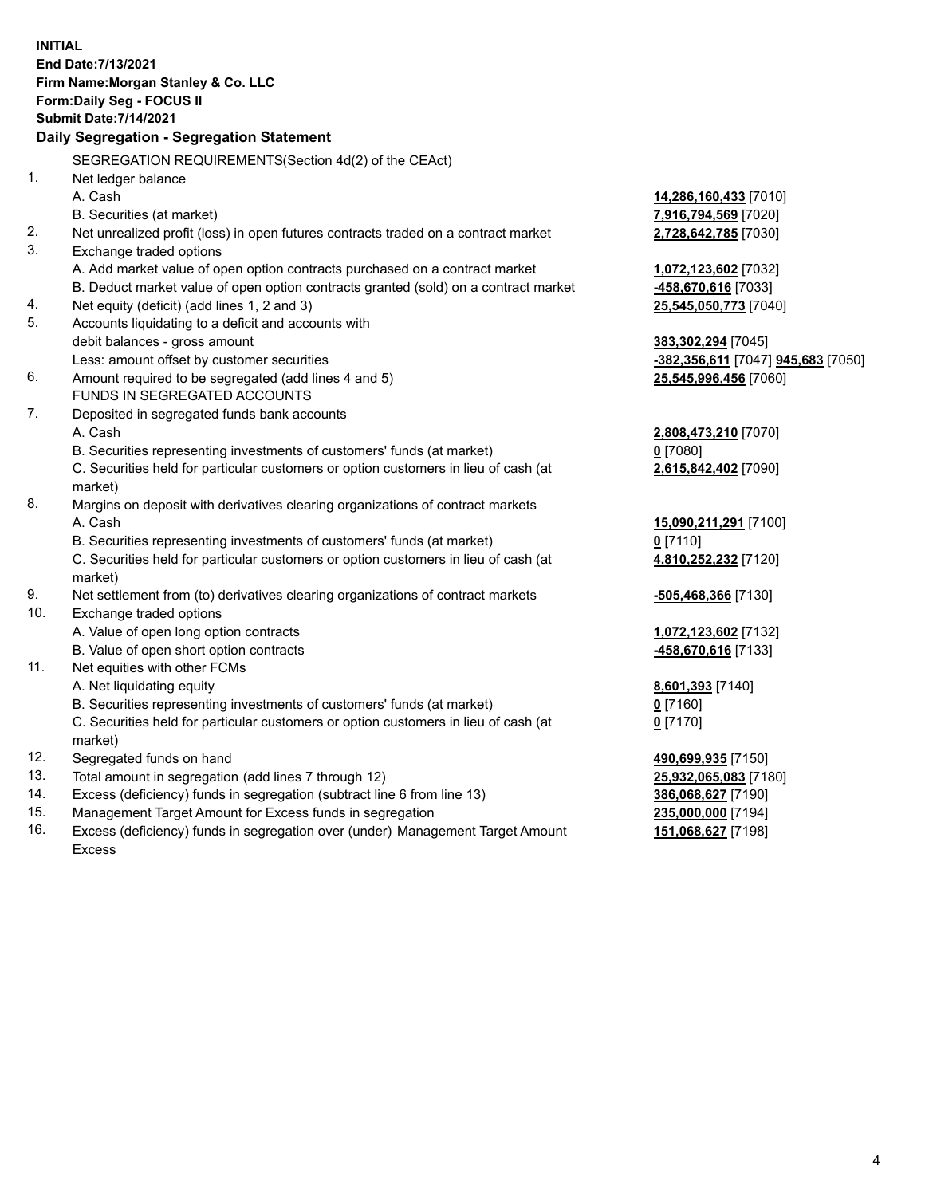**INITIAL End Date:7/13/2021 Firm Name:Morgan Stanley & Co. LLC Form:Daily Seg - FOCUS II Submit Date:7/14/2021 Daily Segregation - Segregation Statement** SEGREGATION REQUIREMENTS(Section 4d(2) of the CEAct) 1. Net ledger balance A. Cash **14,286,160,433** [7010] B. Securities (at market) **7,916,794,569** [7020] 2. Net unrealized profit (loss) in open futures contracts traded on a contract market **2,728,642,785** [7030] 3. Exchange traded options A. Add market value of open option contracts purchased on a contract market **1,072,123,602** [7032] B. Deduct market value of open option contracts granted (sold) on a contract market **-458,670,616** [7033] 4. Net equity (deficit) (add lines 1, 2 and 3) **25,545,050,773** [7040] 5. Accounts liquidating to a deficit and accounts with debit balances - gross amount **383,302,294** [7045] Less: amount offset by customer securities **-382,356,611** [7047] **945,683** [7050] 6. Amount required to be segregated (add lines 4 and 5) **25,545,996,456** [7060] FUNDS IN SEGREGATED ACCOUNTS 7. Deposited in segregated funds bank accounts A. Cash **2,808,473,210** [7070] B. Securities representing investments of customers' funds (at market) **0** [7080] C. Securities held for particular customers or option customers in lieu of cash (at market) **2,615,842,402** [7090] 8. Margins on deposit with derivatives clearing organizations of contract markets A. Cash **15,090,211,291** [7100] B. Securities representing investments of customers' funds (at market) **0** [7110] C. Securities held for particular customers or option customers in lieu of cash (at market) **4,810,252,232** [7120] 9. Net settlement from (to) derivatives clearing organizations of contract markets **-505,468,366** [7130] 10. Exchange traded options A. Value of open long option contracts **1,072,123,602** [7132] B. Value of open short option contracts **-458,670,616** [7133] 11. Net equities with other FCMs A. Net liquidating equity **8,601,393** [7140] B. Securities representing investments of customers' funds (at market) **0** [7160] C. Securities held for particular customers or option customers in lieu of cash (at market) **0** [7170] 12. Segregated funds on hand **490,699,935** [7150] 13. Total amount in segregation (add lines 7 through 12) **25,932,065,083** [7180] 14. Excess (deficiency) funds in segregation (subtract line 6 from line 13) **386,068,627** [7190] 15. Management Target Amount for Excess funds in segregation **235,000,000** [7194]

16. Excess (deficiency) funds in segregation over (under) Management Target Amount Excess

**151,068,627** [7198]